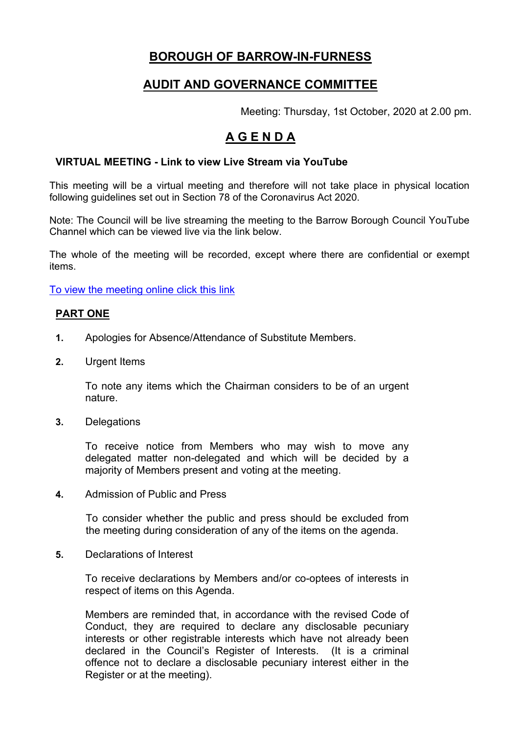# **BOROUGH OF BARROW-IN-FURNESS**

### **AUDIT AND GOVERNANCE COMMITTEE**

Meeting: Thursday, 1st October, 2020 at 2.00 pm.

# **A G E N D A**

### **VIRTUAL MEETING - Link to view Live Stream via YouTube**

This meeting will be a virtual meeting and therefore will not take place in physical location following guidelines set out in Section 78 of the Coronavirus Act 2020.

Note: The Council will be live streaming the meeting to the Barrow Borough Council YouTube Channel which can be viewed live via the link below.

The whole of the meeting will be recorded, except where there are confidential or exempt items.

To view the [meeting](https://www.youtube.com/channel/UCBYFa9sjxuGwCW5BQwu9mlw/live) online click this link

#### **PART ONE**

- **1.** Apologies for Absence/Attendance of Substitute Members.
- **2.** Urgent Items

To note any items which the Chairman considers to be of an urgent nature.

**3.** Delegations

To receive notice from Members who may wish to move any delegated matter non-delegated and which will be decided by a majority of Members present and voting at the meeting.

**4.** Admission of Public and Press

To consider whether the public and press should be excluded from the meeting during consideration of any of the items on the agenda.

**5.** Declarations of Interest

To receive declarations by Members and/or co-optees of interests in respect of items on this Agenda.

Members are reminded that, in accordance with the revised Code of Conduct, they are required to declare any disclosable pecuniary interests or other registrable interests which have not already been declared in the Council's Register of Interests. (It is a criminal offence not to declare a disclosable pecuniary interest either in the Register or at the meeting).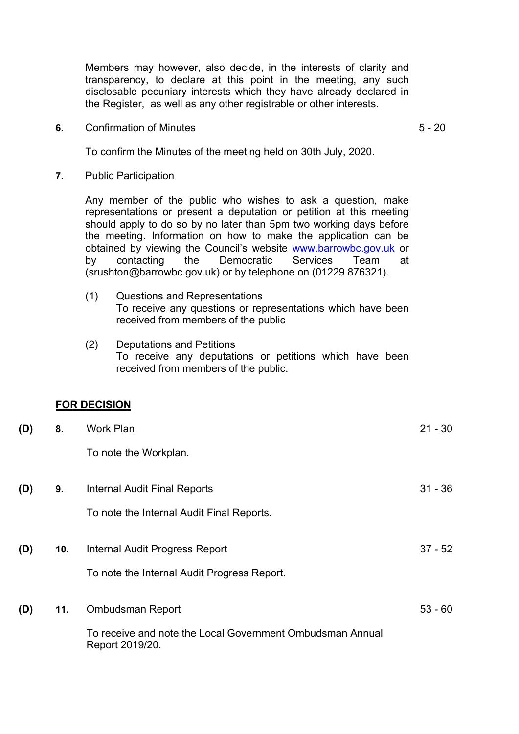Members may however, also decide, in the interests of clarity and transparency, to declare at this point in the meeting, any such disclosable pecuniary interests which they have already declared in the Register, as well as any other registrable or other interests.

**6.** Confirmation of Minutes

5 - 20

To confirm the Minutes of the meeting held on 30th July, 2020.

**7.** Public Participation

Any member of the public who wishes to ask a question, make representations or present a deputation or petition at this meeting should apply to do so by no later than 5pm two working days before the meeting. Information on how to make the application can be obtained by viewing the Council's website [www.barrowbc.gov.uk](http://www.barrowbc.gov.uk/) or by contacting the Democratic Services Team at (srushton@barrowbc.gov.uk) or by telephone on (01229 876321).

- (1) Questions and Representations To receive any questions or representations which have been received from members of the public
- (2) Deputations and Petitions To receive any deputations or petitions which have been received from members of the public.

#### **FOR DECISION**

| (D) | 8.  | Work Plan                                                                    | $21 - 30$ |
|-----|-----|------------------------------------------------------------------------------|-----------|
|     |     | To note the Workplan.                                                        |           |
| (D) | 9.  | Internal Audit Final Reports                                                 | $31 - 36$ |
|     |     | To note the Internal Audit Final Reports.                                    |           |
| (D) | 10. | Internal Audit Progress Report                                               | $37 - 52$ |
|     |     | To note the Internal Audit Progress Report.                                  |           |
| (D) | 11. | Ombudsman Report                                                             | $53 - 60$ |
|     |     | To receive and note the Local Government Ombudsman Annual<br>Report 2019/20. |           |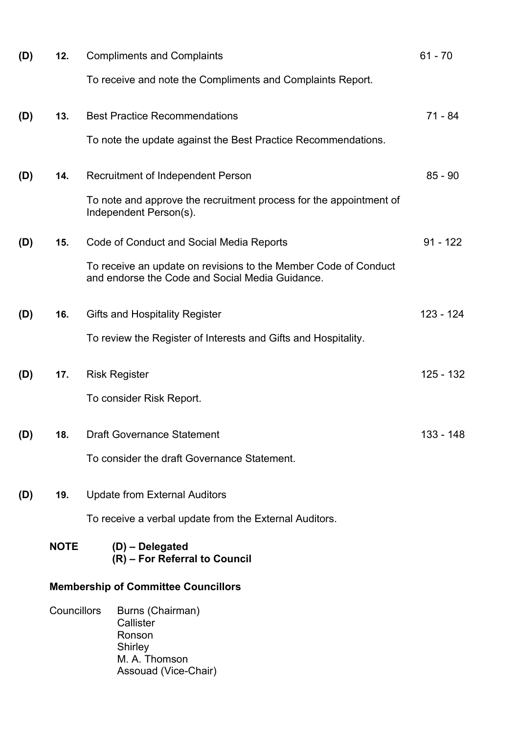| (D) | 12.                                        | <b>Compliments and Complaints</b>                                                                                  | $61 - 70$   |
|-----|--------------------------------------------|--------------------------------------------------------------------------------------------------------------------|-------------|
|     |                                            | To receive and note the Compliments and Complaints Report.                                                         |             |
| (D) | 13.                                        | <b>Best Practice Recommendations</b>                                                                               | 71 - 84     |
|     |                                            | To note the update against the Best Practice Recommendations.                                                      |             |
| (D) | 14.                                        | Recruitment of Independent Person                                                                                  | $85 - 90$   |
|     |                                            | To note and approve the recruitment process for the appointment of<br>Independent Person(s).                       |             |
| (D) | 15.                                        | Code of Conduct and Social Media Reports                                                                           | $91 - 122$  |
|     |                                            | To receive an update on revisions to the Member Code of Conduct<br>and endorse the Code and Social Media Guidance. |             |
| (D) | 16.                                        | <b>Gifts and Hospitality Register</b>                                                                              | 123 - 124   |
|     |                                            | To review the Register of Interests and Gifts and Hospitality.                                                     |             |
| (D) | 17.                                        | <b>Risk Register</b>                                                                                               | $125 - 132$ |
|     |                                            | To consider Risk Report.                                                                                           |             |
| (D) | 18.                                        | <b>Draft Governance Statement</b>                                                                                  | 133 - 148   |
|     |                                            | To consider the draft Governance Statement.                                                                        |             |
| (D) | 19.                                        | <b>Update from External Auditors</b>                                                                               |             |
|     |                                            | To receive a verbal update from the External Auditors.                                                             |             |
|     | <b>NOTE</b>                                | $(D)$ – Delegated<br>(R) - For Referral to Council                                                                 |             |
|     | <b>Membership of Committee Councillors</b> |                                                                                                                    |             |
|     | Councillors                                | Burns (Chairman)<br>Callister<br>Ronson<br>Shirley<br>M. A. Thomson<br>Assouad (Vice-Chair)                        |             |